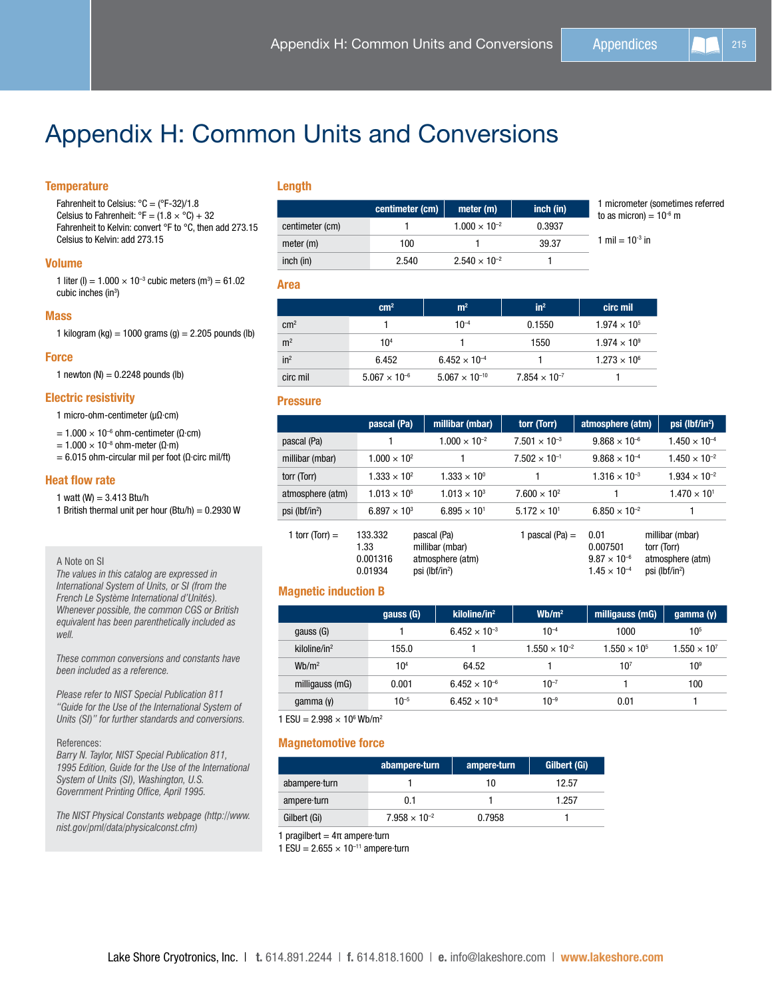# Appendix H: Common Units and Conversions

# **Temperature**

Length

|                 | centimeter (cm) | meter (m)              | inch (in) | 1 micrometer (sometimes referred<br>to as micron) = $10^{-6}$ m |
|-----------------|-----------------|------------------------|-----------|-----------------------------------------------------------------|
| centimeter (cm) |                 | $1.000 \times 10^{-2}$ | 0.3937    |                                                                 |
| meter (m)       | 100             |                        | 39.37     | 1 mil = $10^{-3}$ in                                            |
| inch (in)       | 2.540           | $2.540 \times 10^{-2}$ |           |                                                                 |

Area

|                 | cm <sup>2</sup>        | m <sup>2</sup>          | $in^2$                 | circ mil              |
|-----------------|------------------------|-------------------------|------------------------|-----------------------|
| $\rm cm^2$      |                        | $10^{-4}$               | 0.1550                 | $1.974 \times 10^{5}$ |
| m <sup>2</sup>  | 10 <sup>4</sup>        |                         | 1550                   | $1.974 \times 10^{9}$ |
| in <sup>2</sup> | 6.452                  | $6.452 \times 10^{-4}$  |                        | $1.273 \times 10^{6}$ |
| circ mil        | $5.067 \times 10^{-6}$ | $5.067 \times 10^{-10}$ | $7.854 \times 10^{-7}$ |                       |

## **Pressure**

|                            | pascal (Pa)                            | millibar (mbar)                                                                  | torr (Torr)            | atmosphere (atm)                                                   | psi (lbf/in <sup>2</sup> )                                                       |
|----------------------------|----------------------------------------|----------------------------------------------------------------------------------|------------------------|--------------------------------------------------------------------|----------------------------------------------------------------------------------|
| pascal (Pa)                |                                        | $1.000 \times 10^{-2}$                                                           | $7.501 \times 10^{-3}$ | $9.868 \times 10^{-6}$                                             | $1.450 \times 10^{-4}$                                                           |
| millibar (mbar)            | $1.000 \times 10^{2}$                  |                                                                                  | $7.502 \times 10^{-1}$ | $9.868 \times 10^{-4}$                                             | $1.450 \times 10^{-2}$                                                           |
| torr (Torr)                | $1.333 \times 10^{2}$                  | $1.333 \times 10^{0}$                                                            |                        | $1.316 \times 10^{-3}$                                             | $1.934 \times 10^{-2}$                                                           |
| atmosphere (atm)           | $1.013 \times 10^{5}$                  | $1.013 \times 10^{3}$                                                            | $7.600 \times 10^{2}$  |                                                                    | $1.470 \times 10^{1}$                                                            |
| psi (lbf/in <sup>2</sup> ) | $6.897 \times 10^{3}$                  | $6.895 \times 10^{1}$                                                            | $5.172 \times 10^{1}$  | $6.850 \times 10^{-2}$                                             |                                                                                  |
| 1 torr (Torr) $=$          | 133.332<br>1.33<br>0.001316<br>0.01934 | pascal (Pa)<br>millibar (mbar)<br>atmosphere (atm)<br>psi (lbf/in <sup>2</sup> ) | 1 pascal (Pa) $=$      | 0.01<br>0.007501<br>$9.87 \times 10^{-6}$<br>$1.45 \times 10^{-4}$ | millibar (mbar)<br>torr (Torr)<br>atmosphere (atm)<br>psi (lbf/in <sup>2</sup> ) |

# Magnetic induction B

|                   | gauss (G)       | $\mathbf{kiloline/in}^2$ | Wb/m <sup>2</sup>      | milligauss (mG)       | gamma $(v)$           |
|-------------------|-----------------|--------------------------|------------------------|-----------------------|-----------------------|
| gauss (G)         |                 | $6.452 \times 10^{-3}$   | $10^{-4}$              | 1000                  | 105                   |
| kiloline/in $2$   | 155.0           |                          | $1.550 \times 10^{-2}$ | $1.550 \times 10^{5}$ | $1.550 \times 10^{7}$ |
| Wb/m <sup>2</sup> | 10 <sup>4</sup> | 64.52                    |                        | $10^{7}$              | 10 <sup>9</sup>       |
| milligauss (mG)   | 0.001           | $6.452 \times 10^{-6}$   | $10^{-7}$              |                       | 100                   |
| gamma $(y)$       | $10^{-5}$       | $6.452 \times 10^{-8}$   | $10^{-9}$              | 0.01                  |                       |

 $1$  ESU = 2.998  $\times$  10<sup>6</sup> Wb/m<sup>2</sup>

## Magnetomotive force

|               | abampere-turn          | ampere-turn | <b>Gilbert (Gi)</b> |
|---------------|------------------------|-------------|---------------------|
| abampere turn |                        | 10          | 12.57               |
| ampere-turn   | 0.1                    |             | 1.257               |
| Gilbert (Gi)  | $7.958 \times 10^{-2}$ | 0.7958      |                     |

1 pragilbert =  $4π$  ampere turn

1 ESU =  $2.655 \times 10^{-11}$  ampere turn

Fahrenheit to Celsius:  $°C = (°F-32)/1.8$ Celsius to Fahrenheit:  ${}^{\circ}$ F = (1.8 ×  ${}^{\circ}$ C) + 32 Fahrenheit to Kelvin: convert °F to °C, then add 273.15 Celsius to Kelvin: add 273.15

## Volume

1 liter (l) =  $1.000 \times 10^{-3}$  cubic meters (m<sup>3</sup>) =  $61.02$ cubic inches (in<sup>3</sup>)

#### Mass

1 kilogram (kg) = 1000 grams (g) = 2.205 pounds (lb)

## **Force**

1 newton  $(N) = 0.2248$  pounds (lb)

## Electric resistivity

- 1 micro-ohm-centimeter (µΩ·cm)
- $= 1.000 \times 10^{-6}$  ohm-centimeter (Ω·cm)
- $= 1.000 \times 10^{-8}$  ohm-meter (Ω·m)
- $= 6.015$  ohm-circular mil per foot (Ω·circ mil/ft)

## Heat flow rate

1 watt (W) =  $3.413$  Btu/h

1 British thermal unit per hour (Btu/h) =  $0.2930$  W

#### A Note on SI

*The values in this catalog are expressed in International System of Units, or SI (from the French Le Système International d'Unités). Whenever possible, the common CGS or British equivalent has been parenthetically included as well.*

*These common conversions and constants have been included as a reference.* 

*Please refer to NIST Special Publication 811 "Guide for the Use of the International System of Units (SI)" for further standards and conversions.*

#### References:

*Barry N. Taylor, NIST Special Publication 811, 1995 Edition, Guide for the Use of the International System of Units (SI), Washington, U.S. Government Printing Office, April 1995.*

*The NIST Physical Constants webpage (http://www. nist.gov/pml/data/physicalconst.cfm)*